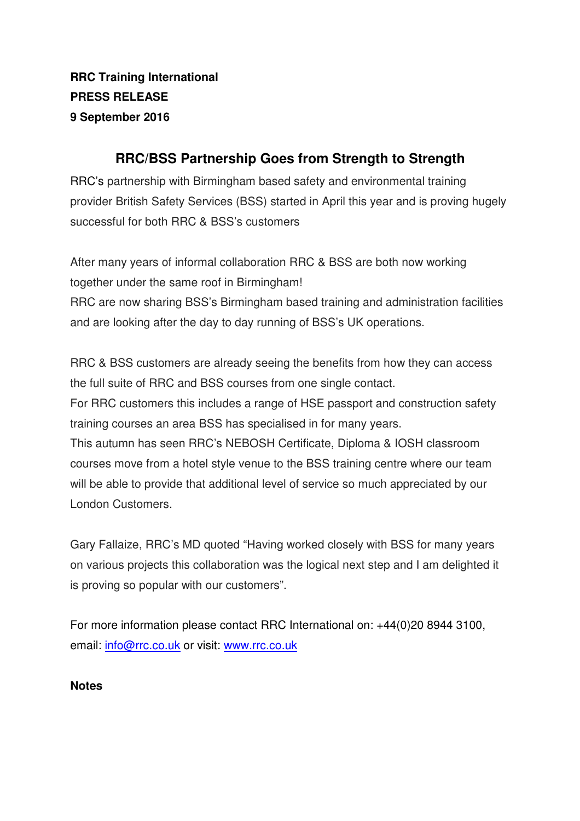**RRC Training International PRESS RELEASE 9 September 2016** 

## **RRC/BSS Partnership Goes from Strength to Strength**

RRC's partnership with Birmingham based safety and environmental training provider British Safety Services (BSS) started in April this year and is proving hugely successful for both RRC & BSS's customers

After many years of informal collaboration RRC & BSS are both now working together under the same roof in Birmingham!

RRC are now sharing BSS's Birmingham based training and administration facilities and are looking after the day to day running of BSS's UK operations.

RRC & BSS customers are already seeing the benefits from how they can access the full suite of RRC and BSS courses from one single contact. For RRC customers this includes a range of HSE passport and construction safety training courses an area BSS has specialised in for many years. This autumn has seen RRC's NEBOSH Certificate, Diploma & IOSH classroom courses move from a hotel style venue to the BSS training centre where our team will be able to provide that additional level of service so much appreciated by our London Customers.

Gary Fallaize, RRC's MD quoted "Having worked closely with BSS for many years on various projects this collaboration was the logical next step and I am delighted it is proving so popular with our customers".

For more information please contact RRC International on: +44(0)20 8944 3100, email: info@rrc.co.uk or visit: www.rrc.co.uk

## **Notes**